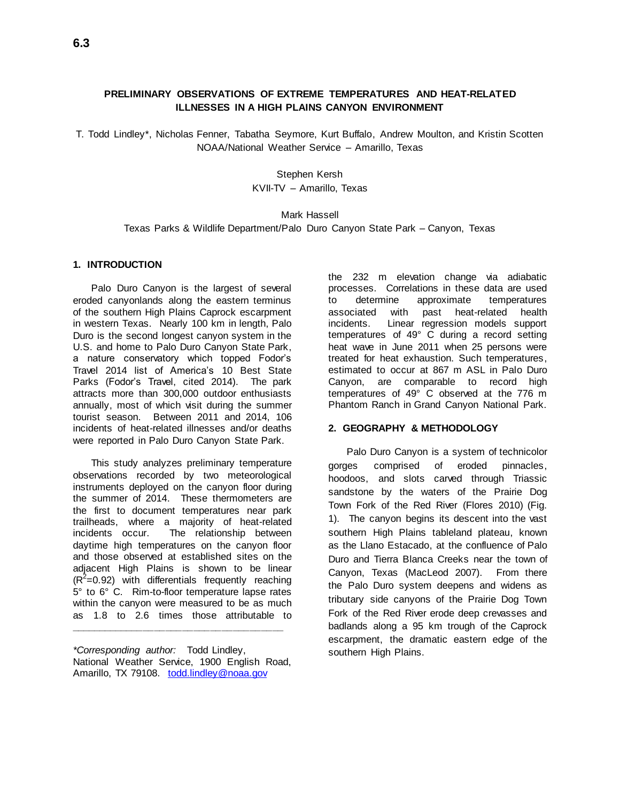# **PRELIMINARY OBSERVATIONS OF EXTREME TEMPERATURES AND HEAT-RELATED ILLNESSES IN A HIGH PLAINS CANYON ENVIRONMENT**

T. Todd Lindley\*, Nicholas Fenner, Tabatha Seymore, Kurt Buffalo, Andrew Moulton, and Kristin Scotten NOAA/National Weather Service – Amarillo, Texas

## Stephen Kersh KVII-TV – Amarillo, Texas

# Mark Hassell Texas Parks & Wildlife Department/Palo Duro Canyon State Park – Canyon, Texas

### **1. INTRODUCTION**

Palo Duro Canyon is the largest of several eroded canyonlands along the eastern terminus of the southern High Plains Caprock escarpment in western Texas. Nearly 100 km in length, Palo Duro is the second longest canyon system in the U.S. and home to Palo Duro Canyon State Park, a nature conservatory which topped Fodor's Travel 2014 list of America's 10 Best State Parks (Fodor's Travel, cited 2014). The park attracts more than 300,000 outdoor enthusiasts annually, most of which visit during the summer tourist season. Between 2011 and 2014, 106 incidents of heat-related illnesses and/or deaths were reported in Palo Duro Canyon State Park.

This study analyzes preliminary temperature observations recorded by two meteorological instruments deployed on the canyon floor during the summer of 2014. These thermometers are the first to document temperatures near park trailheads, where a majority of heat-related incidents occur. The relationship between daytime high temperatures on the canyon floor and those observed at established sites on the adjacent High Plains is shown to be linear  $(R<sup>2</sup>=0.92)$  with differentials frequently reaching 5° to 6° C. Rim-to-floor temperature lapse rates within the canyon were measured to be as much as 1.8 to 2.6 times those attributable to

*\*Corresponding author:* Todd Lindley, National Weather Service, 1900 English Road, Amarillo, TX 79108. [todd.lindley@noaa.gov](mailto:todd.lindley@noaa.gov)

**\_\_\_\_\_\_\_\_\_\_\_\_\_\_\_\_\_\_\_\_\_\_\_\_\_\_\_\_\_\_\_\_\_\_\_\_\_\_**

the 232 m elevation change via adiabatic processes. Correlations in these data are used to determine approximate temperatures associated with past heat-related health incidents. Linear regression models support temperatures of 49° C during a record setting heat wave in June 2011 when 25 persons were treated for heat exhaustion. Such temperatures, estimated to occur at 867 m ASL in Palo Duro Canyon, are comparable to record high temperatures of 49° C observed at the 776 m Phantom Ranch in Grand Canyon National Park.

### **2. GEOGRAPHY & METHODOLOGY**

Palo Duro Canyon is a system of technicolor gorges comprised of eroded pinnacles, hoodoos, and slots carved through Triassic sandstone by the waters of the Prairie Dog Town Fork of the Red River (Flores 2010) (Fig. 1). The canyon begins its descent into the vast southern High Plains tableland plateau, known as the Llano Estacado, at the confluence of Palo Duro and Tierra Blanca Creeks near the town of Canyon, Texas (MacLeod 2007). From there the Palo Duro system deepens and widens as tributary side canyons of the Prairie Dog Town Fork of the Red River erode deep crevasses and badlands along a 95 km trough of the Caprock escarpment, the dramatic eastern edge of the southern High Plains.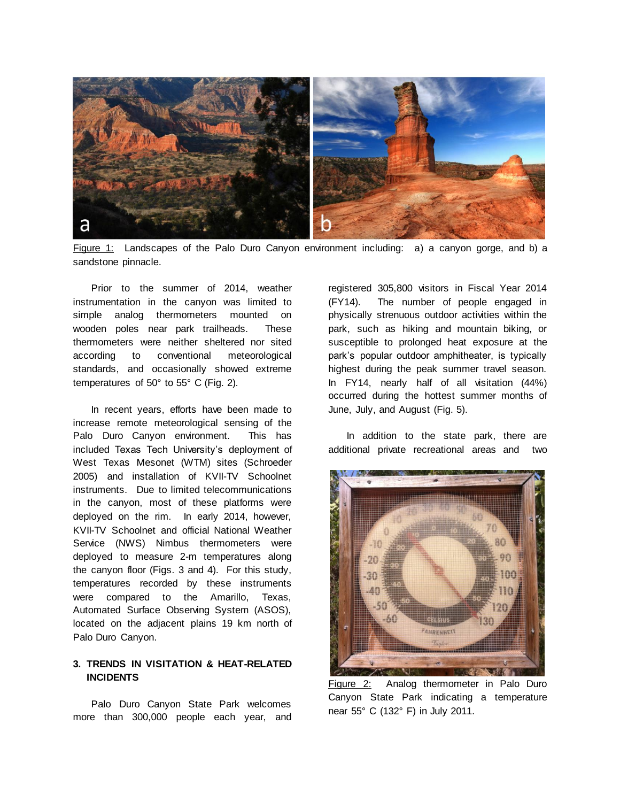

Figure 1: Landscapes of the Palo Duro Canyon environment including: a) a canyon gorge, and b) a sandstone pinnacle.

Prior to the summer of 2014, weather instrumentation in the canyon was limited to simple analog thermometers mounted on wooden poles near park trailheads. These thermometers were neither sheltered nor sited according to conventional meteorological standards, and occasionally showed extreme temperatures of 50° to 55° C (Fig. 2).

In recent years, efforts have been made to increase remote meteorological sensing of the Palo Duro Canyon environment. This has included Texas Tech University's deployment of West Texas Mesonet (WTM) sites (Schroeder 2005) and installation of KVII-TV Schoolnet instruments. Due to limited telecommunications in the canyon, most of these platforms were deployed on the rim. In early 2014, however, KVII-TV Schoolnet and official National Weather Service (NWS) Nimbus thermometers were deployed to measure 2-m temperatures along the canyon floor (Figs. 3 and 4). For this study, temperatures recorded by these instruments were compared to the Amarillo, Texas, Automated Surface Observing System (ASOS), located on the adjacent plains 19 km north of Palo Duro Canyon.

# **3. TRENDS IN VISITATION & HEAT-RELATED INCIDENTS**

Palo Duro Canyon State Park welcomes more than 300,000 people each year, and registered 305,800 visitors in Fiscal Year 2014 (FY14). The number of people engaged in physically strenuous outdoor activities within the park, such as hiking and mountain biking, or susceptible to prolonged heat exposure at the park's popular outdoor amphitheater, is typically highest during the peak summer travel season. In FY14, nearly half of all visitation (44%) occurred during the hottest summer months of June, July, and August (Fig. 5).

In addition to the state park, there are additional private recreational areas and two



Figure 2: Analog thermometer in Palo Duro Canyon State Park indicating a temperature near 55° C (132° F) in July 2011.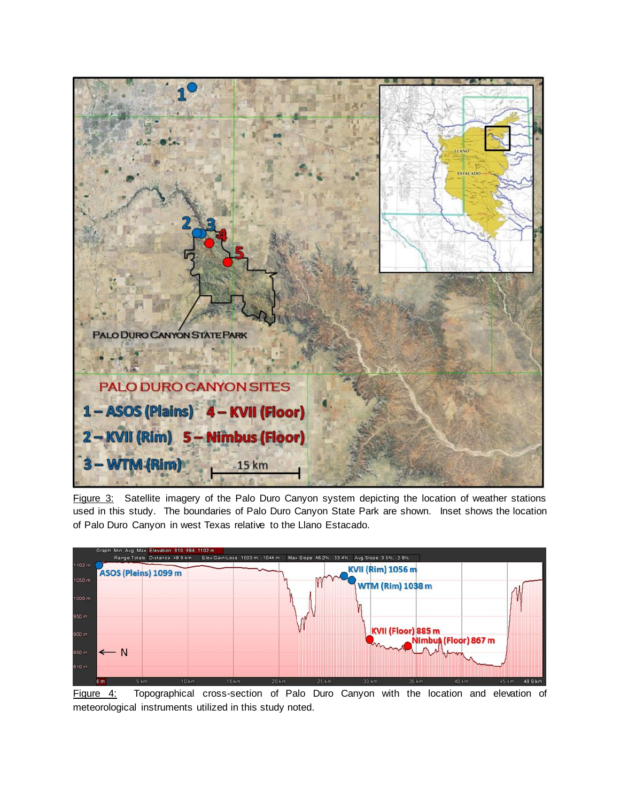

Figure 3: Satellite imagery of the Palo Duro Canyon system depicting the location of weather stations used in this study. The boundaries of Palo Duro Canyon State Park are shown. Inset shows the location of Palo Duro Canyon in west Texas relative to the Llano Estacado.



Figure 4: Topographical cross-section of Palo Duro Canyon with the location and elevation of meteorological instruments utilized in this study noted.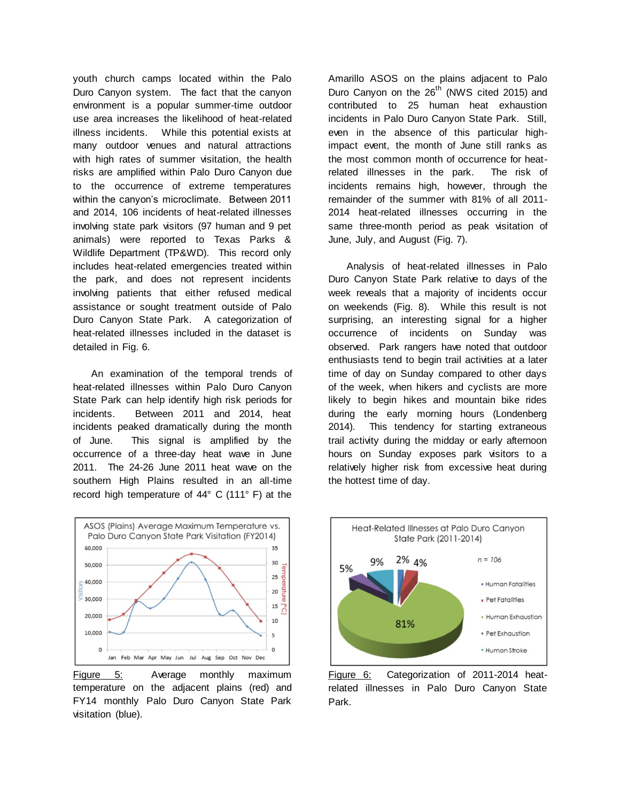youth church camps located within the Palo Duro Canyon system. The fact that the canyon environment is a popular summer-time outdoor use area increases the likelihood of heat-related illness incidents. While this potential exists at many outdoor venues and natural attractions with high rates of summer visitation, the health risks are amplified within Palo Duro Canyon due to the occurrence of extreme temperatures within the canyon's microclimate. Between 2011 and 2014, 106 incidents of heat-related illnesses involving state park visitors (97 human and 9 pet animals) were reported to Texas Parks & Wildlife Department (TP&WD). This record only includes heat-related emergencies treated within the park, and does not represent incidents involving patients that either refused medical assistance or sought treatment outside of Palo Duro Canyon State Park. A categorization of heat-related illnesses included in the dataset is detailed in Fig. 6.

An examination of the temporal trends of heat-related illnesses within Palo Duro Canyon State Park can help identify high risk periods for incidents. Between 2011 and 2014, heat incidents peaked dramatically during the month of June. This signal is amplified by the occurrence of a three-day heat wave in June 2011. The 24-26 June 2011 heat wave on the southern High Plains resulted in an all-time record high temperature of 44° C (111° F) at the



Figure 5: Average monthly maximum temperature on the adjacent plains (red) and FY14 monthly Palo Duro Canyon State Park visitation (blue).

Amarillo ASOS on the plains adjacent to Palo Duro Canyon on the 26<sup>th</sup> (NWS cited 2015) and contributed to 25 human heat exhaustion incidents in Palo Duro Canyon State Park. Still, even in the absence of this particular highimpact event, the month of June still ranks as the most common month of occurrence for heatrelated illnesses in the park. The risk of incidents remains high, however, through the remainder of the summer with 81% of all 2011- 2014 heat-related illnesses occurring in the same three-month period as peak visitation of June, July, and August (Fig. 7).

Analysis of heat-related illnesses in Palo Duro Canyon State Park relative to days of the week reveals that a majority of incidents occur on weekends (Fig. 8). While this result is not surprising, an interesting signal for a higher occurrence of incidents on Sunday was observed. Park rangers have noted that outdoor enthusiasts tend to begin trail activities at a later time of day on Sunday compared to other days of the week, when hikers and cyclists are more likely to begin hikes and mountain bike rides during the early morning hours (Londenberg 2014). This tendency for starting extraneous trail activity during the midday or early afternoon hours on Sunday exposes park visitors to a relatively higher risk from excessive heat during the hottest time of day.



Figure 6: Categorization of 2011-2014 heatrelated illnesses in Palo Duro Canyon State Park.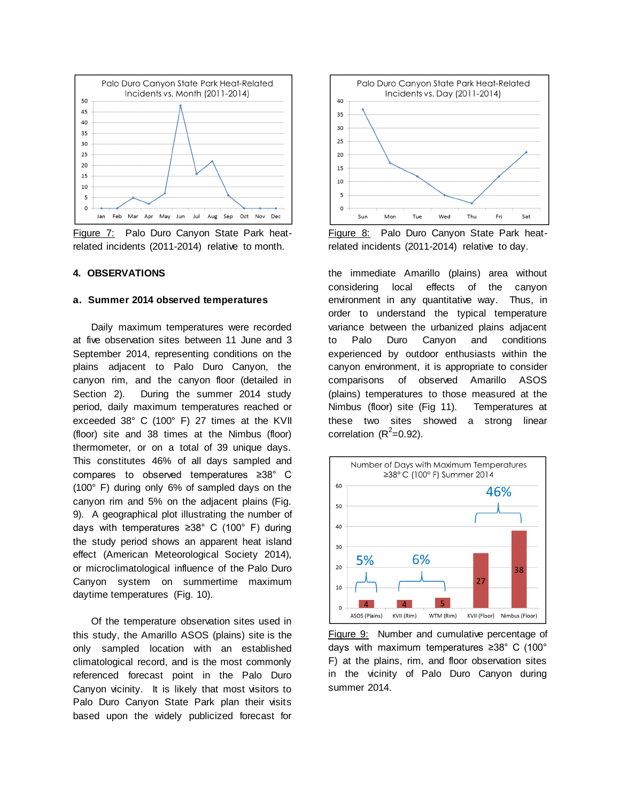

Figure 7: Palo Duro Canyon State Park heatrelated incidents (2011-2014) relative to month.

### **4. OBSERVATIONS**

#### **a. Summer 2014 observed temperatures**

Daily maximum temperatures were recorded at five observation sites between 11 June and 3 September 2014, representing conditions on the plains adjacent to Palo Duro Canyon, the canyon rim, and the canyon floor (detailed in Section 2). During the summer 2014 study period, daily maximum temperatures reached or exceeded 38° C (100° F) 27 times at the KVII (floor) site and 38 times at the Nimbus (floor) thermometer, or on a total of 39 unique days. This constitutes 46% of all days sampled and compares to observed temperatures ≥38° C (100° F) during only 6% of sampled days on the canyon rim and 5% on the adjacent plains (Fig. 9). A geographical plot illustrating the number of days with temperatures ≥38° C (100° F) during the study period shows an apparent heat island effect (American Meteorological Society 2014), or microclimatological influence of the Palo Duro Canyon system on summertime maximum daytime temperatures (Fig. 10).

Of the temperature observation sites used in this study, the Amarillo ASOS (plains) site is the only sampled location with an established climatological record, and is the most commonly referenced forecast point in the Palo Duro Canyon vicinity. It is likely that most visitors to Palo Duro Canyon State Park plan their visits based upon the widely publicized forecast for



Figure 8: Palo Duro Canyon State Park heatrelated incidents (2011-2014) relative to day.

the immediate Amarillo (plains) area without considering local effects of the canyon environment in any quantitative way. Thus, in order to understand the typical temperature variance between the urbanized plains adjacent to Palo Duro Canyon and conditions experienced by outdoor enthusiasts within the canyon environment, it is appropriate to consider comparisons of observed Amarillo ASOS (plains) temperatures to those measured at the Nimbus (floor) site (Fig 11). Temperatures at these two sites showed a strong linear correlation  $(R^2=0.92)$ .



Figure 9: Number and cumulative percentage of days with maximum temperatures ≥38° C (100° F) at the plains, rim, and floor observation sites in the vicinity of Palo Duro Canyon during summer 2014.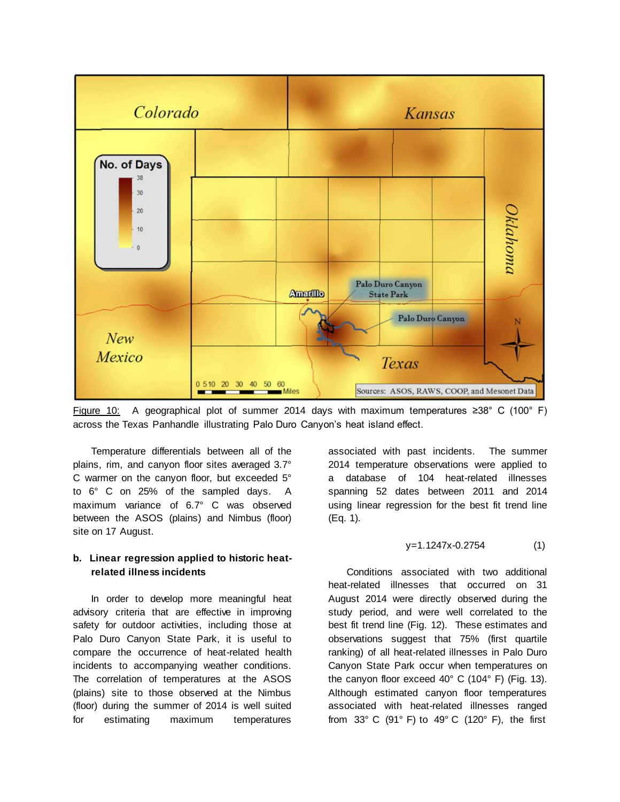

Figure 10: A geographical plot of summer 2014 days with maximum temperatures ≥38° C (100° F) across the Texas Panhandle illustrating Palo Duro Canyon's heat island effect.

Temperature differentials between all of the plains, rim, and canyon floor sites averaged 3.7° C warmer on the canyon floor, but exceeded 5° to 6° C on 25% of the sampled days. A maximum variance of 6.7° C was observed between the ASOS (plains) and Nimbus (floor) site on 17 August.

### **b. Linear regression applied to historic heatrelated illness incidents**

In order to develop more meaningful heat advisory criteria that are effective in improving safety for outdoor activities, including those at Palo Duro Canyon State Park, it is useful to compare the occurrence of heat-related health incidents to accompanying weather conditions. The correlation of temperatures at the ASOS (plains) site to those observed at the Nimbus (floor) during the summer of 2014 is well suited for estimating maximum temperatures

associated with past incidents. The summer 2014 temperature observations were applied to a database of 104 heat-related illnesses spanning 52 dates between 2011 and 2014 using linear regression for the best fit trend line (Eq. 1).

$$
y=1.1247x-0.2754 \tag{1}
$$

Conditions associated with two additional heat-related illnesses that occurred on 31 August 2014 were directly observed during the study period, and were well correlated to the best fit trend line (Fig. 12). These estimates and observations suggest that 75% (first quartile ranking) of all heat-related illnesses in Palo Duro Canyon State Park occur when temperatures on the canyon floor exceed 40° C (104° F) (Fig. 13). Although estimated canyon floor temperatures associated with heat-related illnesses ranged from  $33^{\circ}$  C (91° F) to  $49^{\circ}$  C (120° F), the first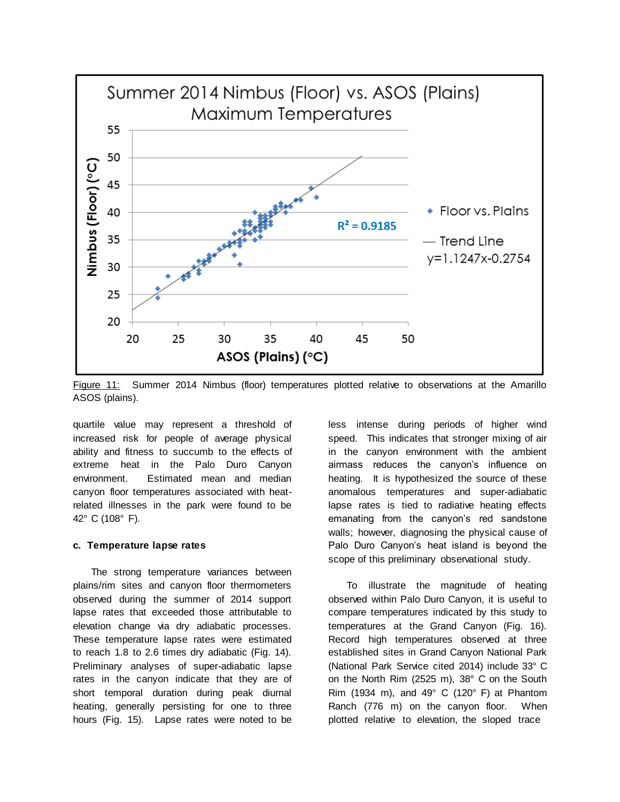

Figure 11: Summer 2014 Nimbus (floor) temperatures plotted relative to observations at the Amarillo ASOS (plains).

quartile value may represent a threshold of increased risk for people of average physical ability and fitness to succumb to the effects of extreme heat in the Palo Duro Canyon environment. Estimated mean and median canyon floor temperatures associated with heatrelated illnesses in the park were found to be 42° C (108° F).

### **c. Temperature lapse rates**

The strong temperature variances between plains/rim sites and canyon floor thermometers observed during the summer of 2014 support lapse rates that exceeded those attributable to elevation change via dry adiabatic processes. These temperature lapse rates were estimated to reach 1.8 to 2.6 times dry adiabatic (Fig. 14). Preliminary analyses of super-adiabatic lapse rates in the canyon indicate that they are of short temporal duration during peak diurnal heating, generally persisting for one to three hours (Fig. 15). Lapse rates were noted to be less intense during periods of higher wind speed. This indicates that stronger mixing of air in the canyon environment with the ambient airmass reduces the canyon's influence on heating. It is hypothesized the source of these anomalous temperatures and super-adiabatic lapse rates is tied to radiative heating effects emanating from the canyon's red sandstone walls; however, diagnosing the physical cause of Palo Duro Canyon's heat island is beyond the scope of this preliminary observational study.

To illustrate the magnitude of heating observed within Palo Duro Canyon, it is useful to compare temperatures indicated by this study to temperatures at the Grand Canyon (Fig. 16). Record high temperatures observed at three established sites in Grand Canyon National Park (National Park Service cited 2014) include 33° C on the North Rim (2525 m), 38° C on the South Rim (1934 m), and 49 $^{\circ}$  C (120 $^{\circ}$  F) at Phantom Ranch (776 m) on the canyon floor. When plotted relative to elevation, the sloped trace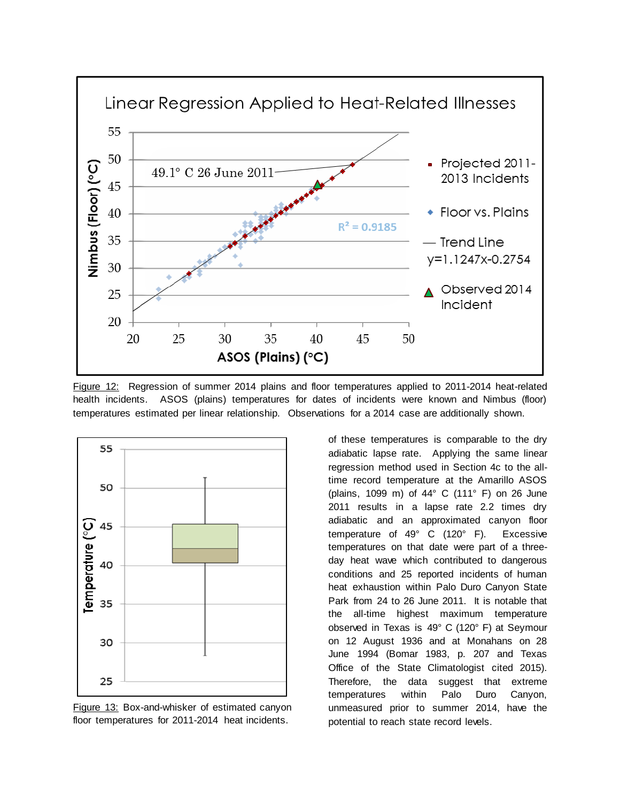

Figure 12: Regression of summer 2014 plains and floor temperatures applied to 2011-2014 heat-related health incidents. ASOS (plains) temperatures for dates of incidents were known and Nimbus (floor) temperatures estimated per linear relationship. Observations for a 2014 case are additionally shown.



Figure 13: Box-and-whisker of estimated canyon floor temperatures for 2011-2014 heat incidents.

of these temperatures is comparable to the dry adiabatic lapse rate. Applying the same linear regression method used in Section 4c to the alltime record temperature at the Amarillo ASOS (plains, 1099 m) of 44° C (111° F) on 26 June 2011 results in a lapse rate 2.2 times dry adiabatic and an approximated canyon floor temperature of 49° C (120° F). Excessive temperatures on that date were part of a threeday heat wave which contributed to dangerous conditions and 25 reported incidents of human heat exhaustion within Palo Duro Canyon State Park from 24 to 26 June 2011. It is notable that the all-time highest maximum temperature observed in Texas is 49° C (120° F) at Seymour on 12 August 1936 and at Monahans on 28 June 1994 (Bomar 1983, p. 207 and Texas Office of the State Climatologist cited 2015). Therefore, the data suggest that extreme temperatures within Palo Duro Canyon, unmeasured prior to summer 2014, have the potential to reach state record levels.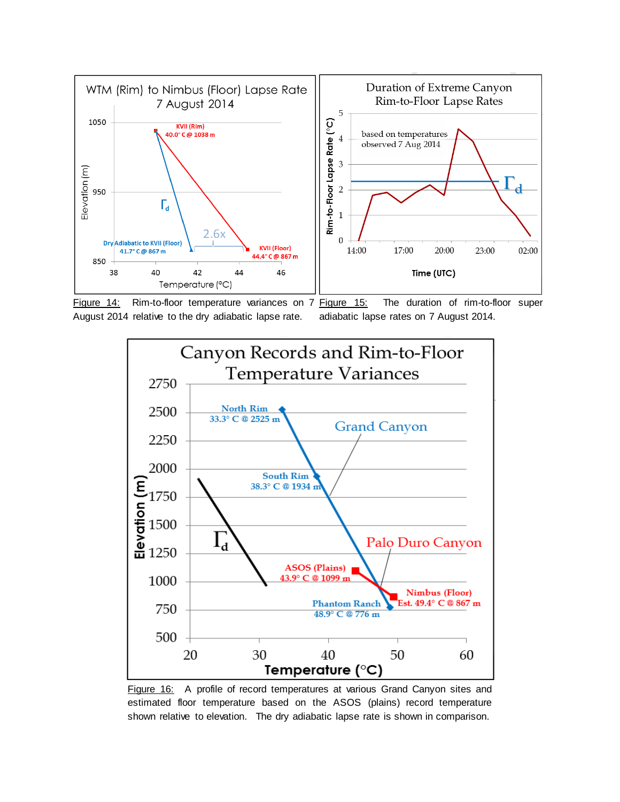

Figure 14: Rim-to-floor temperature variances on 7 Figure 15: August 2014 relative to the dry adiabatic lapse rate.

The duration of rim-to-floor super adiabatic lapse rates on 7 August 2014.



Figure 16: A profile of record temperatures at various Grand Canyon sites and estimated floor temperature based on the ASOS (plains) record temperature shown relative to elevation. The dry adiabatic lapse rate is shown in comparison.